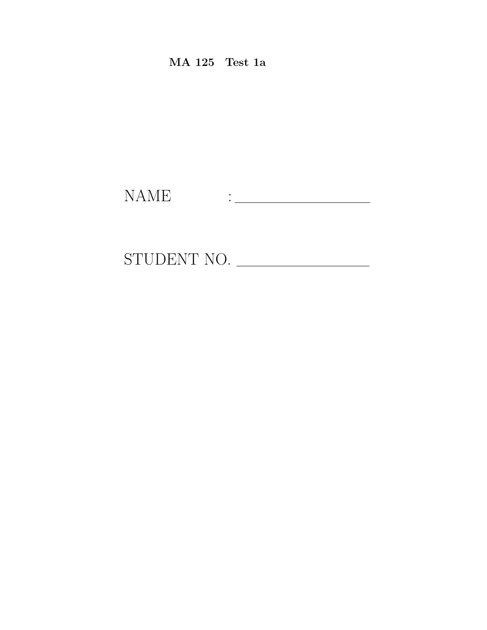MA 125 Test 1a

NAME :

STUDENT NO.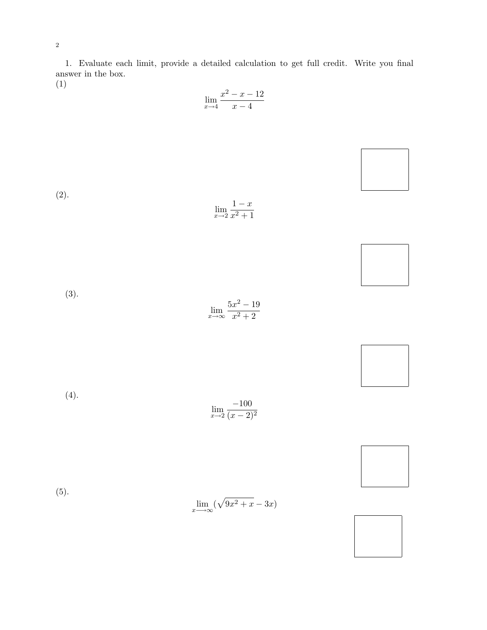2

$$
\lim_{x \to 4} \frac{x^2 - x - 12}{x - 4}
$$

| (2). | $\lim_{x\to 2}\frac{1-x}{x^2+1}$                         |  |
|------|----------------------------------------------------------|--|
|      |                                                          |  |
| (3). | $\lim_{x\to\infty}\frac{5x^2-19}{x^2+2}$                 |  |
|      |                                                          |  |
| (4). | $\lim_{x \to 2} \frac{-100}{(x-2)^2}$                    |  |
|      |                                                          |  |
| (5). | $\lim_{x \longrightarrow \infty} (\sqrt{9x^2 + x} - 3x)$ |  |
|      |                                                          |  |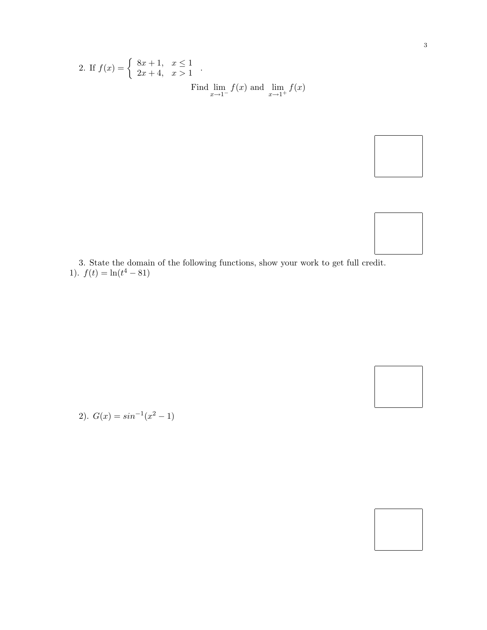2. If 
$$
f(x) = \begin{cases} 8x + 1, & x \le 1 \\ 2x + 4, & x > 1 \end{cases}
$$
.  
Find  $\lim_{x \to 1^-} f(x)$  and  $\lim_{x \to 1^+} f(x)$ 



2).  $G(x) = \sin^{-1}(x^2 - 1)$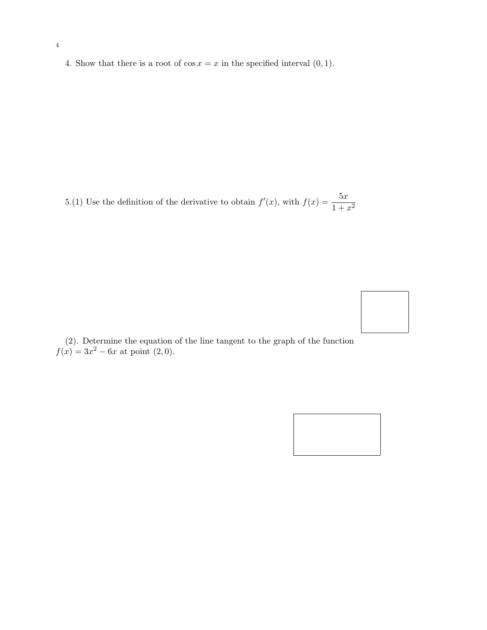4. Show that there is a root of  $\cos x = x$  in the specified interval  $(0, 1)$ .

5.(1) Use the definition of the derivative to obtain  $f'(x)$ , with  $f(x) = \frac{5x}{1+x^2}$ 



(2). Determine the equation of the line tangent to the graph of the function  $f(x) = 3x^2 - 6x$  at point  $(2,0)$ .

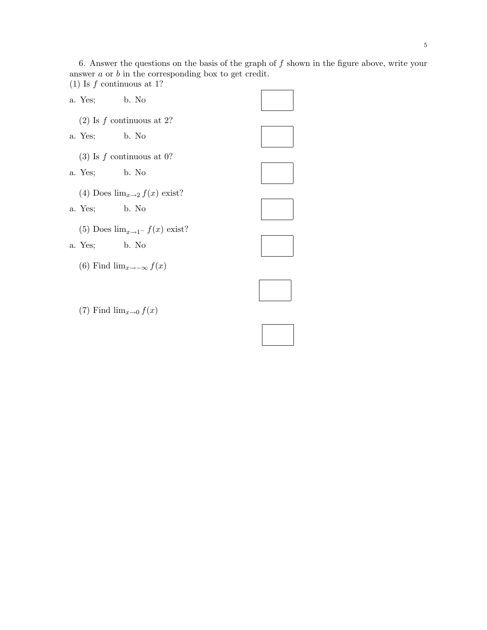6. Answer the questions on the basis of the graph of  $f$  shown in the figure above, write your answer  $a$  or  $b$  in the corresponding box to get credit. (1) Is  $f$  continuous at 1?

| a. Yes; b. No                          |                                   |  |  |  |
|----------------------------------------|-----------------------------------|--|--|--|
| $(2)$ Is f continuous at 2?            |                                   |  |  |  |
| a. Yes; b. No                          |                                   |  |  |  |
| $(3)$ Is f continuous at 0?            |                                   |  |  |  |
| a. Yes; b. No                          |                                   |  |  |  |
| (4) Does $\lim_{x\to 2} f(x)$ exist?   |                                   |  |  |  |
| a. Yes; b. No                          |                                   |  |  |  |
| (5) Does $\lim_{x\to 1^-} f(x)$ exist? |                                   |  |  |  |
| a. Yes; b. No                          |                                   |  |  |  |
|                                        | (6) Find $\lim_{x\to-\infty}f(x)$ |  |  |  |

(7) Find  $\lim_{x\to 0} f(x)$